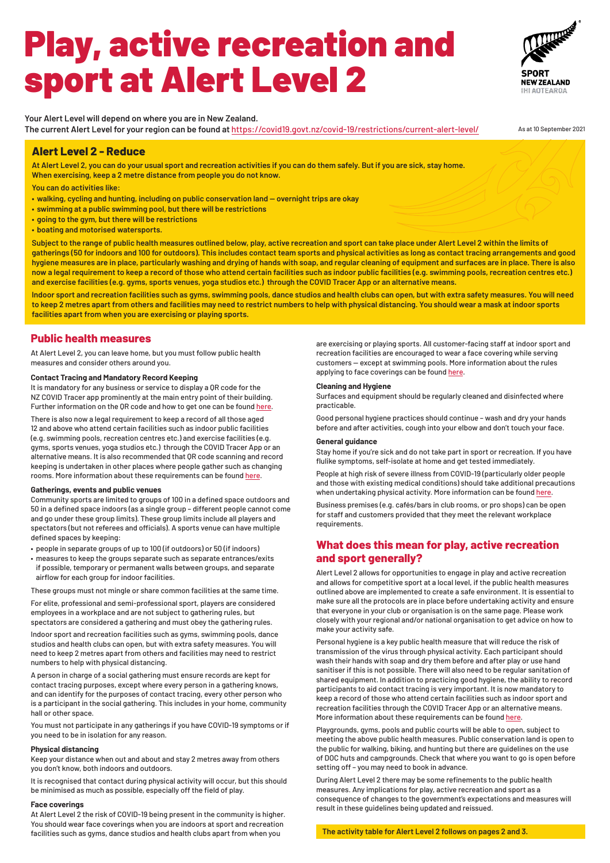# **Alert Level 2 - Reduce**

**At Alert Level 2, you can do your usual sport and recreation activities if you can do them safely. But if you are sick, stay home. When exercising, keep a 2 metre distance from people you do not know.**

**You can do activities like:** 

- **• walking, cycling and hunting, including on public conservation land overnight trips are okay**
- **• swimming at a public swimming pool, but there will be restrictions**
- **• going to the gym, but there will be restrictions**
- **• boating and motorised watersports.**

**Subject to the range of public health measures outlined below, play, active recreation and sport can take place under Alert Level 2 within the limits of gatherings (50 for indoors and 100 for outdoors). This includes contact team sports and physical activities as long as contact tracing arrangements and good hygiene measures are in place, particularly washing and drying of hands with soap, and regular cleaning of equipment and surfaces are in place. There is also now a legal requirement to keep a record of those who attend certain facilities such as indoor public facilities (e.g. swimming pools, recreation centres etc.) and exercise facilities (e.g. gyms, sports venues, yoga studios etc.) through the COVID Tracer App or an alternative means.** 

**Indoor sport and recreation facilities such as gyms, swimming pools, dance studios and health clubs can open, but with extra safety measures. You will need to keep 2 metres apart from others and facilities may need to restrict numbers to help with physical distancing. You should wear a mask at indoor sports facilities apart from when you are exercising or playing sports.**

# **Public health measures**

At Alert Level 2, you can leave home, but you must follow public health measures and consider others around you.

# **Contact Tracing and Mandatory Record Keeping**

It is mandatory for any business or service to display a QR code for the NZ COVID Tracer app prominently at the main entry point of their building. Further information on the QR code and how to get one can be found here.

There is also now a legal requirement to keep a record of all those aged 12 and above who attend certain facilities such as indoor public facilities (e.g. swimming pools, recreation centres etc.) and exercise facilities (e.g. gyms, sports venues, yoga studios etc.) through the COVID Tracer App or an alternative means. It is also recommended that QR code scanning and record keeping is undertaken in other places where people gather such as changing rooms. More information about these requirements can be found here.

are exercising or playing sports. All customer-facing staff at indoor sport and recreation facilities are encouraged to wear a face covering while serving customers — except at swimming pools. More information about the rules applying to face coverings can be found here.

# **Gatherings, events and public venues**

Community sports are limited to groups of 100 in a defined space outdoors and 50 in a defined space indoors (as a single group – different people cannot come and go under these group limits). These group limits include all players and spectators (but not referees and officials). A sports venue can have multiple defined spaces by keeping:

- people in separate groups of up to 100 (if outdoors) or 50 (if indoors)
- measures to keep the groups separate such as separate entrances/exits if possible, temporary or permanent walls between groups, and separate airflow for each group for indoor facilities.

These groups must not mingle or share common facilities at the same time.

For elite, professional and semi-professional sport, players are considered employees in a workplace and are not subject to gathering rules, but spectators are considered a gathering and must obey the gathering rules.

Indoor sport and recreation facilities such as gyms, swimming pools, dance studios and health clubs can open, but with extra safety measures. You will need to keep 2 metres apart from others and facilities may need to restrict numbers to help with physical distancing.

A person in charge of a social gathering must ensure records are kept for contact tracing purposes, except where every person in a gathering knows, and can identify for the purposes of contact tracing, every other person who is a participant in the social gathering. This includes in your home, community hall or other space.

You must not participate in any gatherings if you have COVID-19 symptoms or if you need to be in isolation for any reason.

# **Physical distancing**

Keep your distance when out and about and stay 2 metres away from others you don't know, both indoors and outdoors.

It is recognised that contact during physical activity will occur, but this should be minimised as much as possible, especially off the field of play.

# **Face coverings**

At Alert Level 2 the risk of COVID-19 being present in the community is higher. You should wear face coverings when you are indoors at sport and recreation facilities such as gyms, dance studios and health clubs apart from when you

# Play, active recreation and sport at Alert Level 2



**Your Alert Level will depend on where you are in New Zealand. The current Alert Level for your region can be found at** https://covid19.govt.nz/covid-19/restrictions/current-alert-level/ As at 10 September 2021

# **Cleaning and Hygiene**

Surfaces and equipment should be regularly cleaned and disinfected where practicable.

Good personal hygiene practices should continue – wash and dry your hands before and after activities, cough into your elbow and don't touch your face.

# **General guidance**

Stay home if you're sick and do not take part in sport or recreation. If you have flulike symptoms, self-isolate at home and get tested immediately.

People at high risk of severe illness from COVID-19 (particularly older people and those with existing medical conditions) should take additional precautions when undertaking physical activity. More information can be found here.

Business premises (e.g. cafés/bars in club rooms, or pro shops) can be open for staff and customers provided that they meet the relevant workplace requirements.

# **What does this mean for play, active recreation and sport generally?**

Alert Level 2 allows for opportunities to engage in play and active recreation and allows for competitive sport at a local level, if the public health measures outlined above are implemented to create a safe environment. It is essential to make sure all the protocols are in place before undertaking activity and ensure that everyone in your club or organisation is on the same page. Please work closely with your regional and/or national organisation to get advice on how to make your activity safe.

Personal hygiene is a key public health measure that will reduce the risk of transmission of the virus through physical activity. Each participant should wash their hands with soap and dry them before and after play or use hand sanitiser if this is not possible. There will also need to be regular sanitation of shared equipment. In addition to practicing good hygiene, the ability to record participants to aid contact tracing is very important. It is now mandatory to keep a record of those who attend certain facilities such as indoor sport and recreation facilities through the COVID Tracer App or an alternative means. More information about these requirements can be found here.

Playgrounds, gyms, pools and public courts will be able to open, subject to meeting the above public health measures. Public conservation land is open to the public for walking, biking, and hunting but there are guidelines on the use of DOC huts and campgrounds. Check that where you want to go is open before setting off – you may need to book in advance.

During Alert Level 2 there may be some refinements to the public health measures. Any implications for play, active recreation and sport as a consequence of changes to the government's expectations and measures will result in these guidelines being updated and reissued.

**The activity table for Alert Level 2 follows on pages 2 and 3.**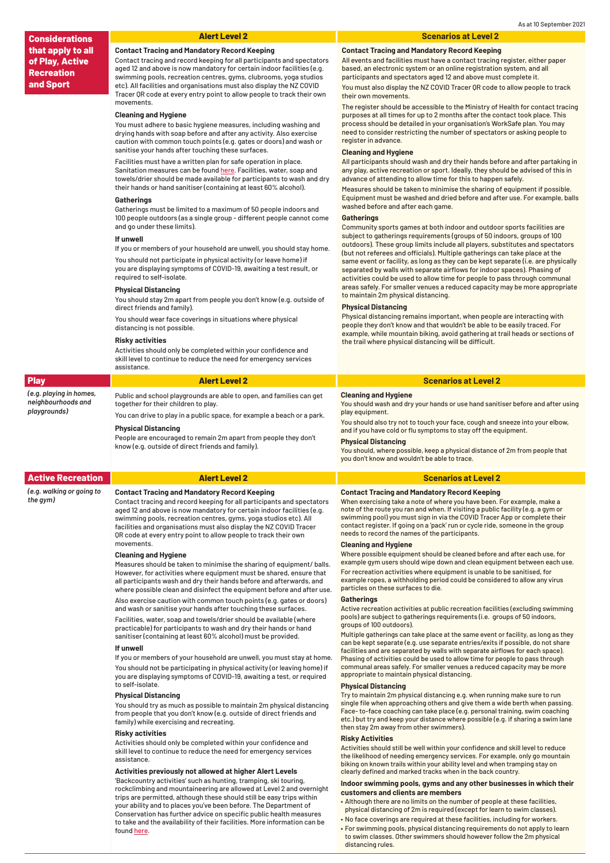*playgrounds)*

|  |  | <b>Alert Level</b> |
|--|--|--------------------|
|  |  |                    |

| <b>Play</b>             | <b>Alert Level 2</b>                                                 | <b>Scenarios at Level 2</b>                          |  |
|-------------------------|----------------------------------------------------------------------|------------------------------------------------------|--|
| (e.g. playing in homes, | Public and school playgrounds are able to open, and families can get | <b>Cleaning and Hygiene</b>                          |  |
| neighbourhoods and      | together for their children to play.                                 | You should wash and dry your hands or use hand sanit |  |

You can drive to play in a public space, for example a beach or a park.

and sanitiser before and after using play equipment.

# **Physical Distancing**

People are encouraged to remain 2m apart from people they don't know (e.g. outside of direct friends and family).

You should also try not to touch your face, cough and sneeze into your elbow, and if you have cold or flu symptoms to stay off the equipment.

### **Physical Distancing**

You should, where possible, keep a physical distance of 2m from people that you don't know and wouldn't be able to trace.

Measures should be taken to minimise the sharing of equipment/ balls. However, for activities where equipment must be shared, ensure that all participants wash and dry their hands before and afterwards, and where possible clean and disinfect the equipment before and after use.

Also exercise caution with common touch points (e.g. gates or doors) and wash or sanitise your hands after touching these surfaces.

Facilities, water, soap and towels/drier should be available (where practicable) for participants to wash and dry their hands or hand sanitiser (containing at least 60% alcohol) must be provided.

#### **If unwell**

If you or members of your household are unwell, you must stay at home. You should not be participating in physical activity (or leaving home) if you are displaying symptoms of COVID-19, awaiting a test, or required to self-isolate.

| <b>Active Recreation</b>              | <b>Alert Level 2</b>                                                                                                                                                                                                                                                                                                                                                                                                 | <b>Scenarios at Level 2</b>                                                                                                                                                                                                                                                                                                                                                                                                          |  |
|---------------------------------------|----------------------------------------------------------------------------------------------------------------------------------------------------------------------------------------------------------------------------------------------------------------------------------------------------------------------------------------------------------------------------------------------------------------------|--------------------------------------------------------------------------------------------------------------------------------------------------------------------------------------------------------------------------------------------------------------------------------------------------------------------------------------------------------------------------------------------------------------------------------------|--|
| (e.g. walking or going to<br>the gym) | <b>Contact Tracing and Mandatory Record Keeping</b><br>Contact tracing and record keeping for all participants and spectators<br>aged 12 and above is now mandatory for certain indoor facilities (e.g.<br>swimming pools, recreation centres, gyms, yoga studios etc). All<br>facilities and organisations must also display the NZ COVID Tracer<br>QR code at every entry point to allow people to track their own | <b>Contact Tracing and Mandatory Record Keeping</b><br>When exercising take a note of where you have been. For example, make a<br>note of the route you ran and when. If visiting a public facility (e.g. a gym or<br>swimming pool) you must sign in via the COVID Tracer App or complete their<br>contact register. If going on a 'pack' run or cycle ride, someone in the group<br>needs to record the names of the participants. |  |
|                                       | movements.                                                                                                                                                                                                                                                                                                                                                                                                           | <b>Cleaning and Hygiene</b>                                                                                                                                                                                                                                                                                                                                                                                                          |  |
|                                       | <b>Cleaning and Hygiene</b>                                                                                                                                                                                                                                                                                                                                                                                          | Where possible equipment should be cleaned before and after each use, for                                                                                                                                                                                                                                                                                                                                                            |  |

# **Physical Distancing**

You should try as much as possible to maintain 2m physical distancing from people that you don't know (e.g. outside of direct friends and family) while exercising and recreating.

# **Risky activities**

Activities should only be completed within your confidence and skill level to continue to reduce the need for emergency services assistance.

# **Activities previously not allowed at higher Alert Levels**

'Backcountry activities' such as hunting, tramping, ski touring, rockclimbing and mountaineering are allowed at Level 2 and overnight trips are permitted, although these should still be easy trips within your ability and to places you've been before. The Department of Conservation has further advice on specific public health measures to take and the availability of their facilities. More information can be found here.

Where possible equipment should be cleaned before and after each use, for example gym users should wipe down and clean equipment between each use. For recreation activities where equipment is unable to be sanitised, for

example ropes, a withholding period could be considered to allow any virus particles on these surfaces to die.

# **Gatherings**

Active recreation activities at public recreation facilities (excluding swimming pools) are subject to gatherings requirements (i.e. groups of 50 indoors, groups of 100 outdoors).

Multiple gatherings can take place at the same event or facility, as long as they can be kept separate (e.g. use separate entries/exits if possible, do not share facilities and are separated by walls with separate airflows for each space). Phasing of activities could be used to allow time for people to pass through communal areas safely. For smaller venues a reduced capacity may be more appropriate to maintain physical distancing.

# **Physical Distancing**

Try to maintain 2m physical distancing e.g. when running make sure to run single file when approaching others and give them a wide berth when passing. Face- to-face coaching can take place (e.g. personal training, swim coaching etc.) but try and keep your distance where possible (e.g. if sharing a swim lane then stay 2m away from other swimmers).

# **Risky Activities**

Activities should still be well within your confidence and skill level to reduce the likelihood of needing emergency services. For example, only go mountain biking on known trails within your ability level and when tramping stay on clearly defined and marked tracks when in the back country.

# **Indoor swimming pools, gyms and any other businesses in which their customers and clients are members**

- Although there are no limits on the number of people at these facilities, physical distancing of 2m is required (except for learn to swim classes).
- No face coverings are required at these facilities, including for workers.
- For swimming pools, physical distancing requirements do not apply to learn to swim classes. Other swimmers should however follow the 2m physical distancing rules.

# **Alert Level 2 Scenarios at Level 2**

# **Contact Tracing and Mandatory Record Keeping**

Contact tracing and record keeping for all participants and spectators aged 12 and above is now mandatory for certain indoor facilities (e.g. swimming pools, recreation centres, gyms, clubrooms, yoga studios etc). All facilities and organisations must also display the NZ COVID Tracer QR code at every entry point to allow people to track their own movements.

# **Cleaning and Hygiene**

You must adhere to basic hygiene measures, including washing and drying hands with soap before and after any activity. Also exercise caution with common touch points (e.g. gates or doors) and wash or sanitise your hands after touching these surfaces.

Facilities must have a written plan for safe operation in place. Sanitation measures can be found here. Facilities, water, soap and towels/drier should be made available for participants to wash and dry their hands or hand sanitiser (containing at least 60% alcohol).

## **Gatherings**

Gatherings must be limited to a maximum of 50 people indoors and 100 people outdoors (as a single group - different people cannot come and go under these limits).

# **If unwell**

If you or members of your household are unwell, you should stay home.

You should not participate in physical activity (or leave home) if you are displaying symptoms of COVID-19, awaiting a test result, or required to self-isolate.

# **Physical Distancing**

You should stay 2m apart from people you don't know (e.g. outside of direct friends and family).

You should wear face coverings in situations where physical distancing is not possible.

#### **Risky activities**

Activities should only be completed within your confidence and skill level to continue to reduce the need for emergency services assistance.

# **Contact Tracing and Mandatory Record Keeping**

All events and facilities must have a contact tracing register, either paper based, an electronic system or an online registration system, and all participants and spectators aged 12 and above must complete it.

You must also display the NZ COVID Tracer QR code to allow people to track their own movements.

The register should be accessible to the Ministry of Health for contact tracing purposes at all times for up to 2 months after the contact took place. This process should be detailed in your organisation's WorkSafe plan. You may need to consider restricting the number of spectators or asking people to register in advance.

# **Cleaning and Hygiene**

All participants should wash and dry their hands before and after partaking in any play, active recreation or sport. Ideally, they should be advised of this in advance of attending to allow time for this to happen safely.

Measures should be taken to minimise the sharing of equipment if possible. Equipment must be washed and dried before and after use. For example, balls washed before and after each game.

# **Gatherings**

Community sports games at both indoor and outdoor sports facilities are subject to gatherings requirements (groups of 50 indoors, groups of 100 outdoors). These group limits include all players, substitutes and spectators (but not referees and officials). Multiple gatherings can take place at the same event or facility, as long as they can be kept separate (i.e. are physically separated by walls with separate airflows for indoor spaces). Phasing of activities could be used to allow time for people to pass through communal areas safely. For smaller venues a reduced capacity may be more appropriate to maintain 2m physical distancing.

# **Physical Distancing**

Physical distancing remains important, when people are interacting with people they don't know and that wouldn't be able to be easily traced. For example, while mountain biking, avoid gathering at trail heads or sections of the trail where physical distancing will be difficult.

**Considerations that apply to all of Play, Active Recreation and Sport**